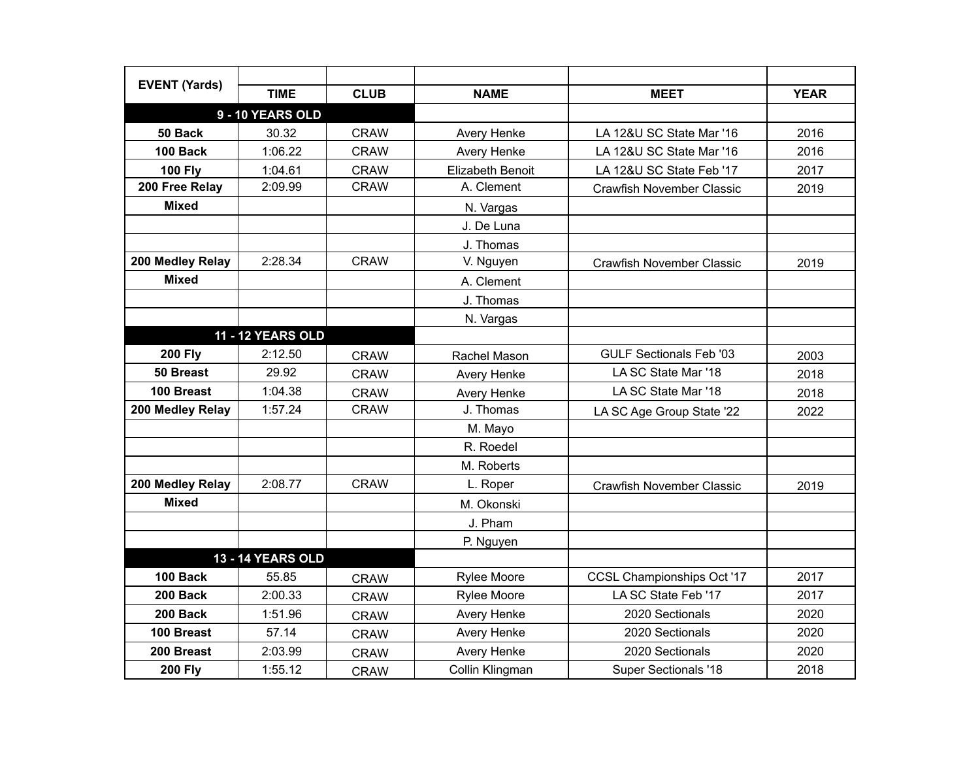| <b>EVENT (Yards)</b> |                          |             |                    |                                  |             |
|----------------------|--------------------------|-------------|--------------------|----------------------------------|-------------|
|                      | <b>TIME</b>              | <b>CLUB</b> | <b>NAME</b>        | <b>MEET</b>                      | <b>YEAR</b> |
|                      | 9 - 10 YEARS OLD         |             |                    |                                  |             |
| 50 Back              | 30.32                    | <b>CRAW</b> | Avery Henke        | LA 12&U SC State Mar '16         | 2016        |
| 100 Back             | 1:06.22                  | <b>CRAW</b> | <b>Avery Henke</b> | LA 12&U SC State Mar '16         | 2016        |
| <b>100 Fly</b>       | 1:04.61                  | <b>CRAW</b> | Elizabeth Benoit   | LA 12&U SC State Feb '17         | 2017        |
| 200 Free Relay       | 2:09.99                  | <b>CRAW</b> | A. Clement         | <b>Crawfish November Classic</b> | 2019        |
| <b>Mixed</b>         |                          |             | N. Vargas          |                                  |             |
|                      |                          |             | J. De Luna         |                                  |             |
|                      |                          |             | J. Thomas          |                                  |             |
| 200 Medley Relay     | 2:28.34                  | <b>CRAW</b> | V. Nguyen          | <b>Crawfish November Classic</b> | 2019        |
| <b>Mixed</b>         |                          |             | A. Clement         |                                  |             |
|                      |                          |             | J. Thomas          |                                  |             |
|                      |                          |             | N. Vargas          |                                  |             |
|                      | <b>11 - 12 YEARS OLD</b> |             |                    |                                  |             |
| <b>200 Fly</b>       | 2:12.50                  | <b>CRAW</b> | Rachel Mason       | <b>GULF Sectionals Feb '03</b>   | 2003        |
| 50 Breast            | 29.92                    | <b>CRAW</b> | <b>Avery Henke</b> | LA SC State Mar '18              | 2018        |
| 100 Breast           | 1:04.38                  | <b>CRAW</b> | Avery Henke        | LA SC State Mar '18              | 2018        |
| 200 Medley Relay     | 1:57.24                  | <b>CRAW</b> | J. Thomas          | LA SC Age Group State '22        | 2022        |
|                      |                          |             | M. Mayo            |                                  |             |
|                      |                          |             | R. Roedel          |                                  |             |
|                      |                          |             | M. Roberts         |                                  |             |
| 200 Medley Relay     | 2:08.77                  | <b>CRAW</b> | L. Roper           | <b>Crawfish November Classic</b> | 2019        |
| <b>Mixed</b>         |                          |             | M. Okonski         |                                  |             |
|                      |                          |             | J. Pham            |                                  |             |
|                      |                          |             | P. Nguyen          |                                  |             |
|                      | <b>13 - 14 YEARS OLD</b> |             |                    |                                  |             |
| <b>100 Back</b>      | 55.85                    | <b>CRAW</b> | <b>Rylee Moore</b> | CCSL Championships Oct '17       | 2017        |
| 200 Back             | 2:00.33                  | <b>CRAW</b> | Rylee Moore        | LA SC State Feb '17              | 2017        |
| 200 Back             | 1:51.96                  | <b>CRAW</b> | <b>Avery Henke</b> | 2020 Sectionals                  | 2020        |
| 100 Breast           | 57.14                    | <b>CRAW</b> | <b>Avery Henke</b> | 2020 Sectionals                  | 2020        |
| 200 Breast           | 2:03.99                  | <b>CRAW</b> | Avery Henke        | 2020 Sectionals                  | 2020        |
| <b>200 Fly</b>       | 1:55.12                  | <b>CRAW</b> | Collin Klingman    | <b>Super Sectionals '18</b>      | 2018        |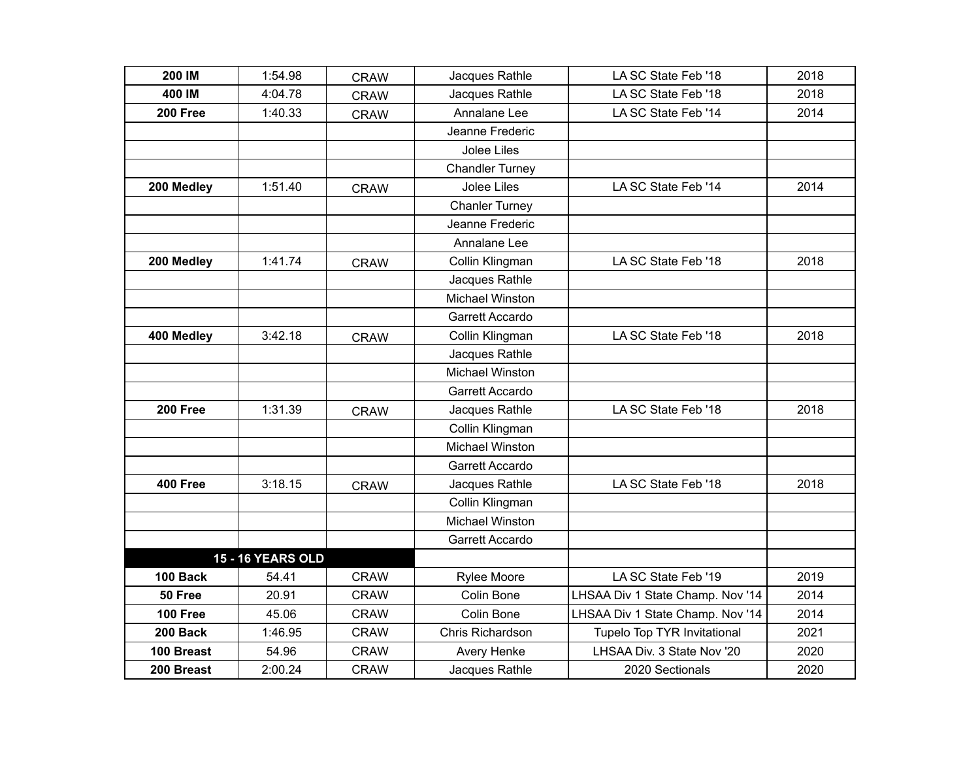| 200 IM          | 1:54.98                  | <b>CRAW</b> | Jacques Rathle         | LA SC State Feb '18              | 2018 |
|-----------------|--------------------------|-------------|------------------------|----------------------------------|------|
| 400 IM          | 4:04.78                  | <b>CRAW</b> | Jacques Rathle         | LA SC State Feb '18              | 2018 |
| 200 Free        | 1:40.33                  | <b>CRAW</b> | Annalane Lee           | LA SC State Feb '14              | 2014 |
|                 |                          |             | Jeanne Frederic        |                                  |      |
|                 |                          |             | Jolee Liles            |                                  |      |
|                 |                          |             | <b>Chandler Turney</b> |                                  |      |
| 200 Medley      | 1:51.40                  | <b>CRAW</b> | <b>Jolee Liles</b>     | LA SC State Feb '14              | 2014 |
|                 |                          |             | <b>Chanler Turney</b>  |                                  |      |
|                 |                          |             | Jeanne Frederic        |                                  |      |
|                 |                          |             | Annalane Lee           |                                  |      |
| 200 Medley      | 1:41.74                  | <b>CRAW</b> | Collin Klingman        | LA SC State Feb '18              | 2018 |
|                 |                          |             | Jacques Rathle         |                                  |      |
|                 |                          |             | <b>Michael Winston</b> |                                  |      |
|                 |                          |             | Garrett Accardo        |                                  |      |
| 400 Medley      | 3:42.18                  | <b>CRAW</b> | Collin Klingman        | LA SC State Feb '18              | 2018 |
|                 |                          |             | Jacques Rathle         |                                  |      |
|                 |                          |             | Michael Winston        |                                  |      |
|                 |                          |             | Garrett Accardo        |                                  |      |
| 200 Free        | 1:31.39                  | <b>CRAW</b> | Jacques Rathle         | LA SC State Feb '18              | 2018 |
|                 |                          |             | Collin Klingman        |                                  |      |
|                 |                          |             | <b>Michael Winston</b> |                                  |      |
|                 |                          |             | Garrett Accardo        |                                  |      |
| 400 Free        | 3:18.15                  | <b>CRAW</b> | Jacques Rathle         | LA SC State Feb '18              | 2018 |
|                 |                          |             | Collin Klingman        |                                  |      |
|                 |                          |             | <b>Michael Winston</b> |                                  |      |
|                 |                          |             | Garrett Accardo        |                                  |      |
|                 | <b>15 - 16 YEARS OLD</b> |             |                        |                                  |      |
| 100 Back        | 54.41                    | <b>CRAW</b> | <b>Rylee Moore</b>     | LA SC State Feb '19              | 2019 |
| 50 Free         | 20.91                    | <b>CRAW</b> | Colin Bone             | LHSAA Div 1 State Champ. Nov '14 | 2014 |
| <b>100 Free</b> | 45.06                    | <b>CRAW</b> | Colin Bone             | LHSAA Div 1 State Champ. Nov '14 | 2014 |
| 200 Back        | 1:46.95                  | <b>CRAW</b> | Chris Richardson       | Tupelo Top TYR Invitational      | 2021 |
| 100 Breast      | 54.96                    | <b>CRAW</b> | Avery Henke            | LHSAA Div. 3 State Nov '20       | 2020 |
| 200 Breast      | 2:00.24                  | <b>CRAW</b> | Jacques Rathle         | 2020 Sectionals                  | 2020 |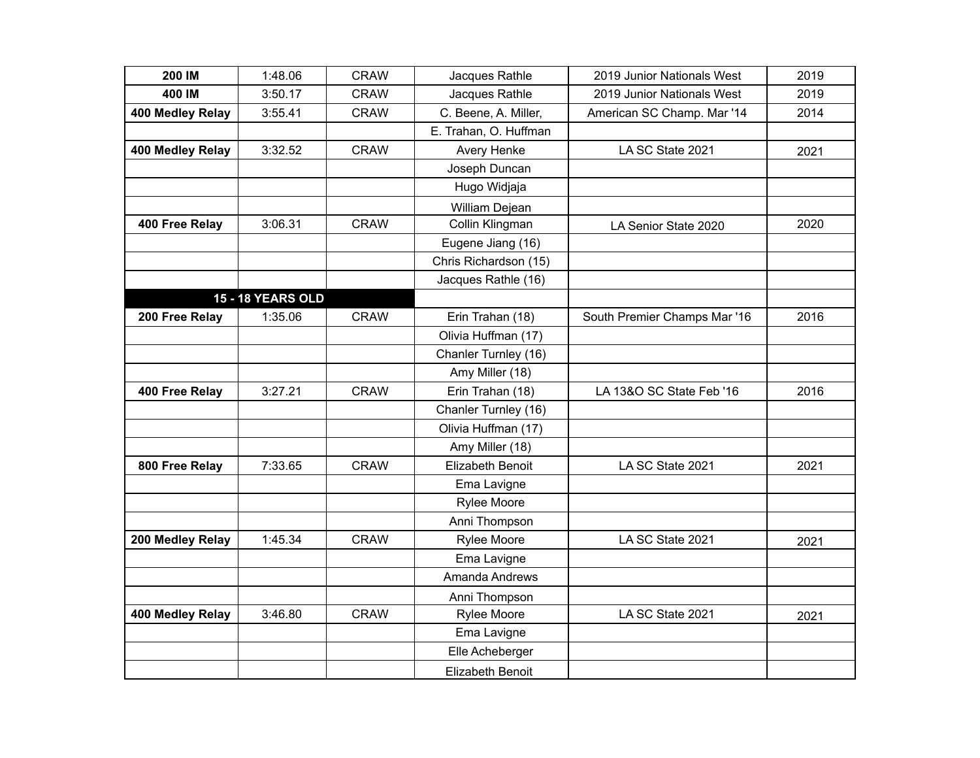| 200 IM           | 1:48.06                  | <b>CRAW</b> | Jacques Rathle        | 2019 Junior Nationals West   | 2019 |
|------------------|--------------------------|-------------|-----------------------|------------------------------|------|
| 400 IM           | 3:50.17                  | <b>CRAW</b> | Jacques Rathle        | 2019 Junior Nationals West   | 2019 |
| 400 Medley Relay | 3:55.41                  | <b>CRAW</b> | C. Beene, A. Miller,  | American SC Champ. Mar '14   | 2014 |
|                  |                          |             | E. Trahan, O. Huffman |                              |      |
| 400 Medley Relay | 3:32.52                  | <b>CRAW</b> | Avery Henke           | LA SC State 2021             | 2021 |
|                  |                          |             | Joseph Duncan         |                              |      |
|                  |                          |             | Hugo Widjaja          |                              |      |
|                  |                          |             | William Dejean        |                              |      |
| 400 Free Relay   | 3:06.31                  | <b>CRAW</b> | Collin Klingman       | LA Senior State 2020         | 2020 |
|                  |                          |             | Eugene Jiang (16)     |                              |      |
|                  |                          |             | Chris Richardson (15) |                              |      |
|                  |                          |             | Jacques Rathle (16)   |                              |      |
|                  | <b>15 - 18 YEARS OLD</b> |             |                       |                              |      |
| 200 Free Relay   | 1:35.06                  | <b>CRAW</b> | Erin Trahan (18)      | South Premier Champs Mar '16 | 2016 |
|                  |                          |             | Olivia Huffman (17)   |                              |      |
|                  |                          |             | Chanler Turnley (16)  |                              |      |
|                  |                          |             | Amy Miller (18)       |                              |      |
| 400 Free Relay   | 3:27.21                  | <b>CRAW</b> | Erin Trahan (18)      | LA 13&O SC State Feb '16     | 2016 |
|                  |                          |             | Chanler Turnley (16)  |                              |      |
|                  |                          |             | Olivia Huffman (17)   |                              |      |
|                  |                          |             | Amy Miller (18)       |                              |      |
| 800 Free Relay   | 7:33.65                  | <b>CRAW</b> | Elizabeth Benoit      | LA SC State 2021             | 2021 |
|                  |                          |             | Ema Lavigne           |                              |      |
|                  |                          |             | Rylee Moore           |                              |      |
|                  |                          |             | Anni Thompson         |                              |      |
| 200 Medley Relay | 1:45.34                  | <b>CRAW</b> | Rylee Moore           | LA SC State 2021             | 2021 |
|                  |                          |             | Ema Lavigne           |                              |      |
|                  |                          |             | Amanda Andrews        |                              |      |
|                  |                          |             | Anni Thompson         |                              |      |
| 400 Medley Relay | 3:46.80                  | <b>CRAW</b> | <b>Rylee Moore</b>    | LA SC State 2021             | 2021 |
|                  |                          |             | Ema Lavigne           |                              |      |
|                  |                          |             | Elle Acheberger       |                              |      |
|                  |                          |             | Elizabeth Benoit      |                              |      |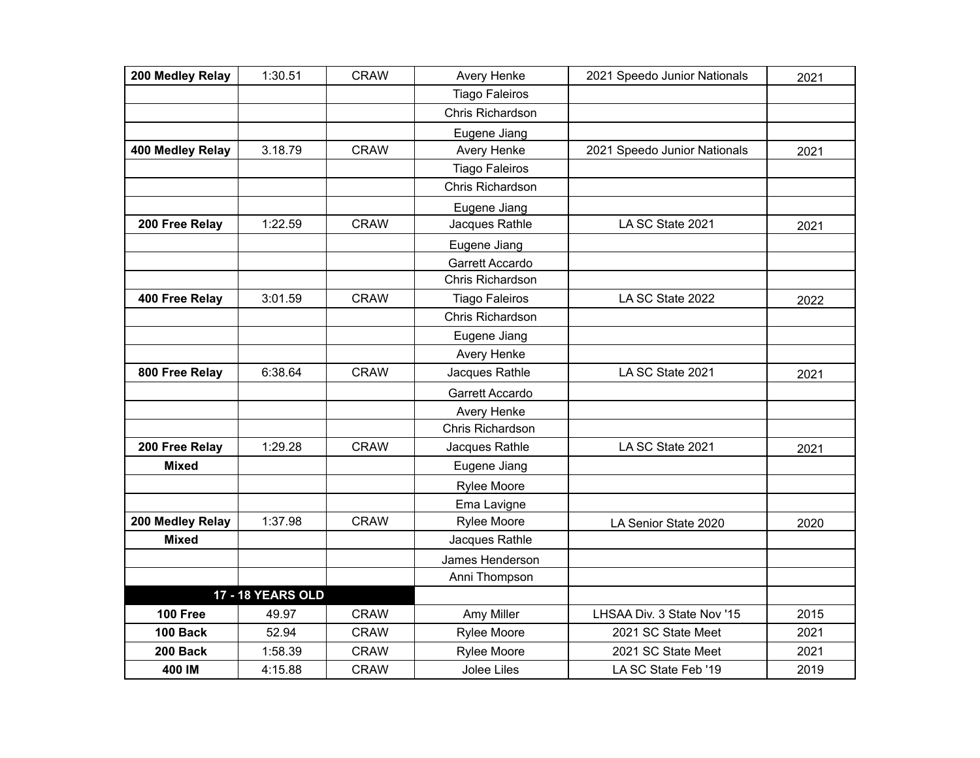| 200 Medley Relay | 1:30.51                  | <b>CRAW</b> | Avery Henke           | 2021 Speedo Junior Nationals | 2021 |
|------------------|--------------------------|-------------|-----------------------|------------------------------|------|
|                  |                          |             | <b>Tiago Faleiros</b> |                              |      |
|                  |                          |             | Chris Richardson      |                              |      |
|                  |                          |             | Eugene Jiang          |                              |      |
| 400 Medley Relay | 3.18.79                  | <b>CRAW</b> | Avery Henke           | 2021 Speedo Junior Nationals | 2021 |
|                  |                          |             | <b>Tiago Faleiros</b> |                              |      |
|                  |                          |             | Chris Richardson      |                              |      |
|                  |                          |             | Eugene Jiang          |                              |      |
| 200 Free Relay   | 1:22.59                  | <b>CRAW</b> | Jacques Rathle        | LA SC State 2021             | 2021 |
|                  |                          |             | Eugene Jiang          |                              |      |
|                  |                          |             | Garrett Accardo       |                              |      |
|                  |                          |             | Chris Richardson      |                              |      |
| 400 Free Relay   | 3:01.59                  | <b>CRAW</b> | <b>Tiago Faleiros</b> | LA SC State 2022             | 2022 |
|                  |                          |             | Chris Richardson      |                              |      |
|                  |                          |             | Eugene Jiang          |                              |      |
|                  |                          |             | Avery Henke           |                              |      |
| 800 Free Relay   | 6:38.64                  | <b>CRAW</b> | Jacques Rathle        | LA SC State 2021             | 2021 |
|                  |                          |             | Garrett Accardo       |                              |      |
|                  |                          |             | Avery Henke           |                              |      |
|                  |                          |             | Chris Richardson      |                              |      |
| 200 Free Relay   | 1:29.28                  | <b>CRAW</b> | Jacques Rathle        | LA SC State 2021             | 2021 |
| <b>Mixed</b>     |                          |             | Eugene Jiang          |                              |      |
|                  |                          |             | <b>Rylee Moore</b>    |                              |      |
|                  |                          |             | Ema Lavigne           |                              |      |
| 200 Medley Relay | 1:37.98                  | <b>CRAW</b> | <b>Rylee Moore</b>    | LA Senior State 2020         | 2020 |
| <b>Mixed</b>     |                          |             | Jacques Rathle        |                              |      |
|                  |                          |             | James Henderson       |                              |      |
|                  |                          |             | Anni Thompson         |                              |      |
|                  | <b>17 - 18 YEARS OLD</b> |             |                       |                              |      |
| <b>100 Free</b>  | 49.97                    | <b>CRAW</b> | Amy Miller            | LHSAA Div. 3 State Nov '15   | 2015 |
| 100 Back         | 52.94                    | <b>CRAW</b> | Rylee Moore           | 2021 SC State Meet           | 2021 |
| 200 Back         | 1:58.39                  | <b>CRAW</b> | Rylee Moore           | 2021 SC State Meet           | 2021 |
| 400 IM           | 4:15.88                  | <b>CRAW</b> | Jolee Liles           | LA SC State Feb '19          | 2019 |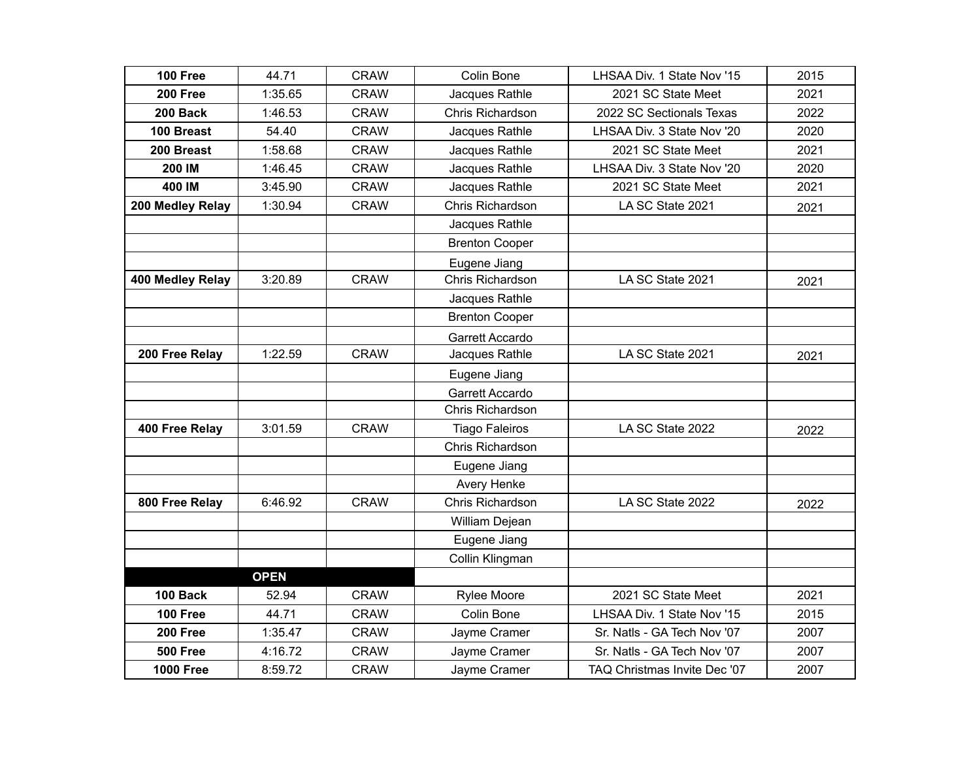| 100 Free         | 44.71       | <b>CRAW</b> | Colin Bone            | LHSAA Div. 1 State Nov '15   | 2015 |
|------------------|-------------|-------------|-----------------------|------------------------------|------|
| 200 Free         | 1:35.65     | <b>CRAW</b> | Jacques Rathle        | 2021 SC State Meet           | 2021 |
| 200 Back         | 1:46.53     | <b>CRAW</b> | Chris Richardson      | 2022 SC Sectionals Texas     | 2022 |
| 100 Breast       | 54.40       | <b>CRAW</b> | Jacques Rathle        | LHSAA Div. 3 State Nov '20   | 2020 |
| 200 Breast       | 1:58.68     | <b>CRAW</b> | Jacques Rathle        | 2021 SC State Meet           | 2021 |
| 200 IM           | 1:46.45     | <b>CRAW</b> | Jacques Rathle        | LHSAA Div. 3 State Nov '20   | 2020 |
| 400 IM           | 3:45.90     | <b>CRAW</b> | Jacques Rathle        | 2021 SC State Meet           | 2021 |
| 200 Medley Relay | 1:30.94     | <b>CRAW</b> | Chris Richardson      | LA SC State 2021             | 2021 |
|                  |             |             | Jacques Rathle        |                              |      |
|                  |             |             | <b>Brenton Cooper</b> |                              |      |
|                  |             |             | Eugene Jiang          |                              |      |
| 400 Medley Relay | 3:20.89     | <b>CRAW</b> | Chris Richardson      | LA SC State 2021             | 2021 |
|                  |             |             | Jacques Rathle        |                              |      |
|                  |             |             | <b>Brenton Cooper</b> |                              |      |
|                  |             |             | Garrett Accardo       |                              |      |
| 200 Free Relay   | 1:22.59     | <b>CRAW</b> | Jacques Rathle        | LA SC State 2021             | 2021 |
|                  |             |             | Eugene Jiang          |                              |      |
|                  |             |             | Garrett Accardo       |                              |      |
|                  |             |             | Chris Richardson      |                              |      |
| 400 Free Relay   | 3:01.59     | <b>CRAW</b> | <b>Tiago Faleiros</b> | LA SC State 2022             | 2022 |
|                  |             |             | Chris Richardson      |                              |      |
|                  |             |             | Eugene Jiang          |                              |      |
|                  |             |             | <b>Avery Henke</b>    |                              |      |
| 800 Free Relay   | 6:46.92     | <b>CRAW</b> | Chris Richardson      | LA SC State 2022             | 2022 |
|                  |             |             | William Dejean        |                              |      |
|                  |             |             | Eugene Jiang          |                              |      |
|                  |             |             | Collin Klingman       |                              |      |
|                  | <b>OPEN</b> |             |                       |                              |      |
| 100 Back         | 52.94       | <b>CRAW</b> | <b>Rylee Moore</b>    | 2021 SC State Meet           | 2021 |
| <b>100 Free</b>  | 44.71       | <b>CRAW</b> | Colin Bone            | LHSAA Div. 1 State Nov '15   | 2015 |
| 200 Free         | 1:35.47     | <b>CRAW</b> | Jayme Cramer          | Sr. Natls - GA Tech Nov '07  | 2007 |
| <b>500 Free</b>  | 4:16.72     | <b>CRAW</b> | Jayme Cramer          | Sr. Natls - GA Tech Nov '07  | 2007 |
| <b>1000 Free</b> | 8:59.72     | <b>CRAW</b> | Jayme Cramer          | TAQ Christmas Invite Dec '07 | 2007 |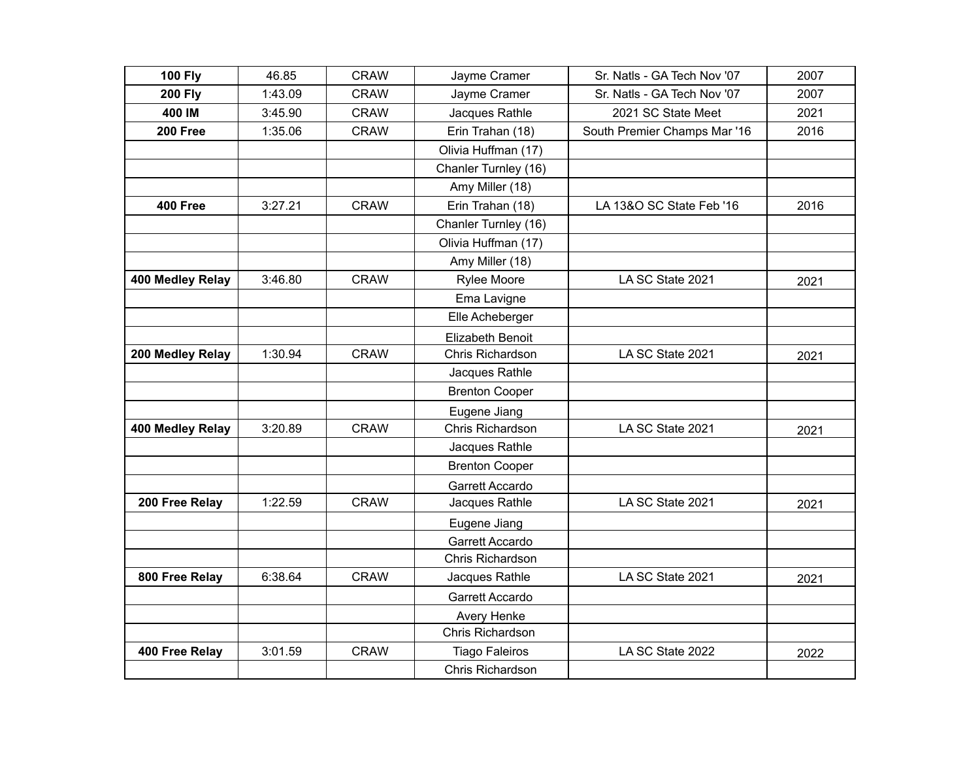| <b>100 Fly</b>   | 46.85   | <b>CRAW</b> | Jayme Cramer          | Sr. Natls - GA Tech Nov '07  | 2007 |
|------------------|---------|-------------|-----------------------|------------------------------|------|
| <b>200 Fly</b>   | 1:43.09 | <b>CRAW</b> | Jayme Cramer          | Sr. Natls - GA Tech Nov '07  | 2007 |
| 400 IM           | 3:45.90 | <b>CRAW</b> | Jacques Rathle        | 2021 SC State Meet           | 2021 |
| 200 Free         | 1:35.06 | <b>CRAW</b> | Erin Trahan (18)      | South Premier Champs Mar '16 | 2016 |
|                  |         |             | Olivia Huffman (17)   |                              |      |
|                  |         |             | Chanler Turnley (16)  |                              |      |
|                  |         |             | Amy Miller (18)       |                              |      |
| <b>400 Free</b>  | 3:27.21 | <b>CRAW</b> | Erin Trahan (18)      | LA 13&O SC State Feb '16     | 2016 |
|                  |         |             | Chanler Turnley (16)  |                              |      |
|                  |         |             | Olivia Huffman (17)   |                              |      |
|                  |         |             | Amy Miller (18)       |                              |      |
| 400 Medley Relay | 3:46.80 | <b>CRAW</b> | Rylee Moore           | LA SC State 2021             | 2021 |
|                  |         |             | Ema Lavigne           |                              |      |
|                  |         |             | Elle Acheberger       |                              |      |
|                  |         |             | Elizabeth Benoit      |                              |      |
| 200 Medley Relay | 1:30.94 | <b>CRAW</b> | Chris Richardson      | LA SC State 2021             | 2021 |
|                  |         |             | Jacques Rathle        |                              |      |
|                  |         |             | <b>Brenton Cooper</b> |                              |      |
|                  |         |             | Eugene Jiang          |                              |      |
| 400 Medley Relay | 3:20.89 | <b>CRAW</b> | Chris Richardson      | LA SC State 2021             | 2021 |
|                  |         |             | Jacques Rathle        |                              |      |
|                  |         |             | <b>Brenton Cooper</b> |                              |      |
|                  |         |             | Garrett Accardo       |                              |      |
| 200 Free Relay   | 1:22.59 | <b>CRAW</b> | Jacques Rathle        | LA SC State 2021             | 2021 |
|                  |         |             | Eugene Jiang          |                              |      |
|                  |         |             | Garrett Accardo       |                              |      |
|                  |         |             | Chris Richardson      |                              |      |
| 800 Free Relay   | 6:38.64 | <b>CRAW</b> | Jacques Rathle        | LA SC State 2021             | 2021 |
|                  |         |             | Garrett Accardo       |                              |      |
|                  |         |             | Avery Henke           |                              |      |
|                  |         |             | Chris Richardson      |                              |      |
| 400 Free Relay   | 3:01.59 | <b>CRAW</b> | <b>Tiago Faleiros</b> | LA SC State 2022             | 2022 |
|                  |         |             | Chris Richardson      |                              |      |